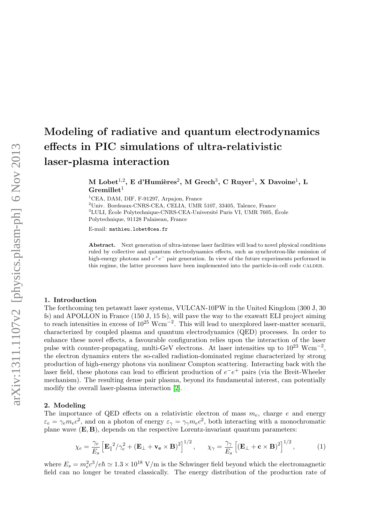# Modeling of radiative and quantum electrodynamics effects in PIC simulations of ultra-relativistic laser-plasma interaction

 $\rm M\,\, Lobel^{1,2},\, E\,\, d'Humières^{2},\, M\,\, Green^{3},\, C\,\, Ruyer^{1},\, X\,\, Davoine^{1},\, L$  $Gremillet<sup>1</sup>$ 

<sup>1</sup>CEA, DAM, DIF, F-91297, Arpajon, France <sup>2</sup>Univ. Bordeaux-CNRS-CEA, CELIA, UMR 5107, 33405, Talence, France  ${}^{3}$ LULI, École Polytechnique-CNRS-CEA-Université Paris VI, UMR 7605, École Polytechnique, 91128 Palaiseau, France

E-mail: mathieu.lobet@cea.fr

Abstract. Next generation of ultra-intense laser facilities will lead to novel physical conditions ruled by collective and quantum electrodynamics effects, such as synchrotron-like emission of high-energy photons and  $e^+e^-$  pair generation. In view of the future experiments performed in this regime, the latter processes have been implemented into the particle-in-cell code CALDER.

#### 1. Introduction

The forthcoming ten petawatt laser systems, VULCAN-10PW in the United Kingdom (300 J, 30 fs) and APOLLON in France (150 J, 15 fs), will pave the way to the exawatt ELI project aiming to reach intensities in excess of  $10^{25}$  Wcm<sup>-2</sup>. This will lead to unexplored laser-matter scenarii, characterized by coupled plasma and quantum electrodynamics (QED) processes. In order to enhance these novel effects, a favourable configuration relies upon the interaction of the laser pulse with counter-propagating, multi-GeV electrons. At laser intensities up to  $10^{23}$  Wcm<sup>-2</sup>, the electron dynamics enters the so-called radiation-dominated regime characterized by strong production of high-energy photons via nonlinear Compton scattering. Interacting back with the laser field, these photons can lead to efficient production of  $e^-e^+$  pairs (via the Breit-Wheeler mechanism). The resulting dense pair plasma, beyond its fundamental interest, can potentially modify the overall laser-plasma interaction [\[2\]](#page-3-0).

## 2. Modeling

The importance of QED effects on a relativistic electron of mass  $m_e$ , charge e and energy  $\varepsilon_e = \gamma_e m_e c^2$ , and on a photon of energy  $\varepsilon_{\gamma} = \gamma_{\gamma} m_e c^2$ , both interacting with a monochromatic plane wave  $(E, B)$ , depends on the respective Lorentz-invariant quantum parameters:

$$
\chi_e = \frac{\gamma_e}{E_s} \left[ \mathbf{E}_{\parallel}^2 / \gamma_e^2 + (\mathbf{E}_{\perp} + \mathbf{v_e} \times \mathbf{B})^2 \right]^{1/2}, \qquad \chi_{\gamma} = \frac{\gamma_{\gamma}}{E_s} \left[ (\mathbf{E}_{\perp} + \mathbf{c} \times \mathbf{B})^2 \right]^{1/2}, \tag{1}
$$

where  $E_s = m_e^2 c^3 / e \hbar \simeq 1.3 \times 10^{18}$  V/m is the Schwinger field beyond which the electromagnetic field can no longer be treated classically. The energy distribution of the production rate of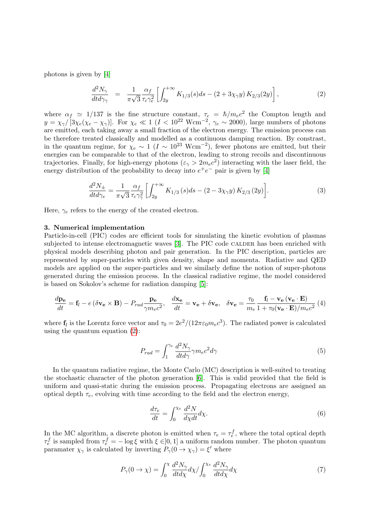photons is given by [\[4\]](#page-3-1)

<span id="page-1-0"></span>
$$
\frac{d^2N_{\gamma}}{dt d\gamma_{\gamma}} = \frac{1}{\pi\sqrt{3}} \frac{\alpha_f}{\tau_c \gamma_e^2} \left[ \int_{2y}^{+\infty} K_{1/3}(s) ds - (2 + 3\chi_{\gamma} y) K_{2/3}(2y) \right],
$$
\n(2)

where  $\alpha_f \simeq 1/137$  is the fine structure constant,  $\tau_c = \hbar/m_e c^2$  the Compton length and  $y = \chi_\gamma/[3\chi_e(\chi_e - \chi_\gamma)]$ . For  $\chi_e \ll 1$  ( $I < 10^{22}$  Wcm<sup>-2</sup>,  $\gamma_e \sim 2000$ ), large numbers of photons are emitted, each taking away a small fraction of the electron energy. The emission process can be therefore treated classically and modelled as a continuous damping reaction. By constrast, in the quantum regime, for  $\chi_e \sim 1$  ( $I \sim 10^{23}$  Wcm<sup>-2</sup>), fewer photons are emitted, but their energies can be comparable to that of the electron, leading to strong recoils and discontinuous trajectories. Finally, for high-energy photons  $(\varepsilon_{\gamma} > 2m_e c^2)$  interacting with the laser field, the energy distribution of the probability to decay into  $e^+e^-$  pair is given by [\[4\]](#page-3-1)

<span id="page-1-1"></span>
$$
\frac{d^2N_{\pm}}{dt d\gamma_{e}} = \frac{1}{\pi\sqrt{3}} \frac{\alpha_{f}}{\tau_{c}\gamma_{\gamma}^{2}} \left[ \int_{2y}^{+\infty} K_{1/3}(s) ds - (2 - 3\chi_{\gamma} y) K_{2/3}(2y) \right].
$$
\n(3)

Here,  $\gamma_e$  refers to the energy of the created electron.

# 3. Numerical implementation

Particle-in-cell (PIC) codes are efficient tools for simulating the kinetic evolution of plasmas subjected to intense electromagnetic waves [\[3\]](#page-3-2). The PIC code CALDER has been enriched with physical models describing photon and pair generation. In the PIC description, particles are represented by super-particles with given density, shape and momenta. Radiative and QED models are applied on the super-particles and we similarly define the notion of super-photons generated during the emission process. In the classical radiative regime, the model considered is based on Sokolov's scheme for radiation damping [\[5\]](#page-3-3):

$$
\frac{d\mathbf{p_e}}{dt} = \mathbf{f}_l - e(\delta \mathbf{v_e} \times \mathbf{B}) - P_{rad} \frac{\mathbf{p_e}}{\gamma m_e c^2}, \quad \frac{d\mathbf{x_e}}{dt} = \mathbf{v_e} + \delta \mathbf{v_e}, \quad \delta \mathbf{v_e} = \frac{\tau_0}{m_e} \frac{\mathbf{f}_l - \mathbf{v_e} (\mathbf{v_e} \cdot \mathbf{E})}{1 + \tau_0 (\mathbf{v_e} \cdot \mathbf{E}) / m_e c^2} (4)
$$

where  $f_l$  is the Lorentz force vector and  $\tau_0 = 2e^2/(12\pi\varepsilon_0 m_e c^3)$ . The radiated power is calculated using the quantum equation [\(2\)](#page-1-0):

$$
P_{rad} = \int_{1}^{\gamma_e} \frac{d^2 N_{\gamma}}{dt d\gamma} \gamma m_e c^2 d\gamma \tag{5}
$$

In the quantum radiative regime, the Monte Carlo (MC) description is well-suited to treating the stochastic character of the photon generation [\[6\]](#page-3-4). This is valid provided that the field is uniform and quasi-static during the emission process. Propagating electrons are assigned an optical depth  $\tau_e$ , evolving with time according to the field and the electron energy,

$$
\frac{d\tau_e}{dt} = \int_0^{\chi_e} \frac{d^2 N}{d\chi dt} d\chi.
$$
\n(6)

In the MC algorithm, a discrete photon is emitted when  $\tau_e = \tau_e^f$ , where the total optical depth  $\tau_e^f$  is sampled from  $\tau_e^f = -\log \xi$  with  $\xi \in ]0,1]$  a uniform random number. The photon quantum paramater  $\chi_{\gamma}$  is calculated by inverting  $P_{\gamma}(0 \to \chi_{\gamma}) = \xi'$  where

$$
P_{\gamma}(0 \to \chi) = \int_0^{\chi} \frac{d^2 N_{\gamma}}{dt d\chi} d\chi / \int_0^{\chi_e} \frac{d^2 N_{\gamma}}{dt d\chi} d\chi \tag{7}
$$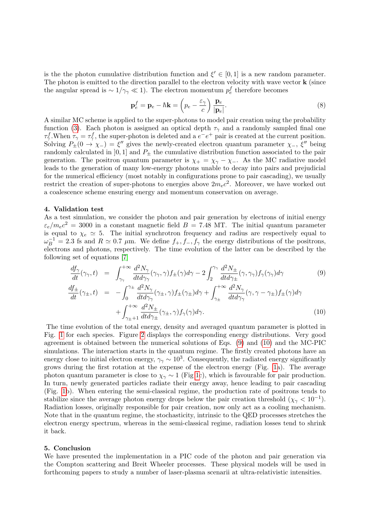is the the photon cumulative distribution function and  $\xi' \in [0,1]$  is a new random parameter. The photon is emitted to the direction parallel to the electron velocity with wave vector **k** (since the angular spread is  $\sim 1/\gamma_{\gamma} \ll 1$ ). The electron momentum  $p_e^f$  therefore becomes

$$
\mathbf{p}_e^f = \mathbf{p}_e - \hbar \mathbf{k} = \left(p_e - \frac{\varepsilon_\gamma}{c}\right) \frac{\mathbf{p}_e}{|\mathbf{p}_e|}.
$$
 (8)

A similar MC scheme is applied to the super-photons to model pair creation using the probability function [\(3\)](#page-1-1). Each photon is assigned an optical depth  $\tau_{\gamma}$  and a randomly sampled final one  $\tau^f_\gamma$ . When  $\tau_\gamma = \tau^f_\gamma$ , the super-photon is deleted and a  $e^-e^+$  pair is created at the current position. Solving  $P_{\pm}(0 \to \chi_{-}) = \xi''$  gives the newly-created electron quantum parameter  $\chi_{-}$ ,  $\xi''$  being randomly calculated in  $[0, 1]$  and  $P_{\pm}$  the cumulative distribution function associated to the pair generation. The positron quantum parameter is  $\chi_{+} = \chi_{\gamma} - \chi_{-}$ . As the MC radiative model leads to the generation of many low-energy photons unable to decay into pairs and prejudicial for the numerical efficiency (most notably in configurations prone to pair cascading), we usually restrict the creation of super-photons to energies above  $2m_ec^2$ . Moreover, we have worked out a coalescence scheme ensuring energy and momentum conservation on average.

# 4. Validation test

As a test simulation, we consider the photon and pair generation by electrons of initial energy  $\varepsilon_e/m_ec^2 = 3000$  in a constant magnetic field  $B = 7.48$  MT. The initial quantum parameter is equal to  $\chi_e \simeq 5$ . The initial synchrotron frequency and radius are respectively equal to  $\omega_B^{-1} = 2.3$  fs and  $R \simeq 0.7 \mu$ m. We define  $f_+, f_-, f_\gamma$  the energy distributions of the positrons, electrons and photons, respectively. The time evolution of the latter can be described by the following set of equations [\[7\]](#page-3-5)

$$
\frac{df_{\gamma}}{dt}(\gamma_{\gamma},t) = \int_{\gamma_{\gamma}}^{+\infty} \frac{d^2N_{\gamma}}{dt d\gamma_{\gamma}}(\gamma_{\gamma},\gamma) f_{\pm}(\gamma) d\gamma - 2 \int_{2}^{\gamma_{\gamma}} \frac{d^2N_{\pm}}{dt d\gamma_{\pm}}(\gamma,\gamma_{\gamma}) f_{\gamma}(\gamma_{\gamma}) d\gamma \tag{9}
$$

<span id="page-2-0"></span>
$$
\frac{df_{\pm}}{dt}(\gamma_{\pm},t) = -\int_0^{\gamma_{\pm}} \frac{d^2N_{\gamma}}{dt d\gamma_{\gamma}}(\gamma_{\pm},\gamma) f_{\pm}(\gamma_{\pm}) d\gamma + \int_{\gamma_{\pm}}^{+\infty} \frac{d^2N_{\gamma}}{dt d\gamma_{\gamma}}(\gamma,\gamma-\gamma_{\pm}) f_{\pm}(\gamma) d\gamma \n+ \int_{\gamma_{\pm}+1}^{+\infty} \frac{d^2N_{\pm}}{dt d\gamma_{\pm}}(\gamma_{\pm},\gamma) f_{\gamma}(\gamma) d\gamma.
$$
\n(10)

The time evolution of the total energy, density and averaged quantum parameter is plotted in Fig. [1](#page-3-6) for each species. Figure [2](#page-3-7) displays the corresponding energy distributions. Very good agreement is obtained between the numerical solutions of Eqs. [\(9\)](#page-2-0) and [\(10\)](#page-2-0) and the MC-PIC simulations. The interaction starts in the quantum regime. The firstly created photons have an energy close to initial electron energy,  $\gamma_{\gamma} \sim 10^3$ . Consequently, the radiated energy significantly grows during the first rotation at the expense of the electron energy (Fig. [1a](#page-3-6)). The average photon quantum parameter is close to  $\chi_{\gamma} \sim 1$  (Fig [1c](#page-3-6)), which is favourable for pair production. In turn, newly generated particles radiate their energy away, hence leading to pair cascading (Fig. [1b](#page-3-6)). When entering the semi-classical regime, the production rate of positrons tends to stabilize since the average photon energy drops below the pair creation threshold  $(\chi_{\gamma} < 10^{-1})$ . Radiation losses, originally responsible for pair creation, now only act as a cooling mechanism. Note that in the quantum regime, the stochasticity, intrinsic to the QED processes stretches the electron energy spectrum, whereas in the semi-classical regime, radiation losses tend to shrink it back.

### 5. Conclusion

We have presented the implementation in a PIC code of the photon and pair generation via the Compton scattering and Breit Wheeler processes. These physical models will be used in forthcoming papers to study a number of laser-plasma scenarii at ultra-relativistic intensities.